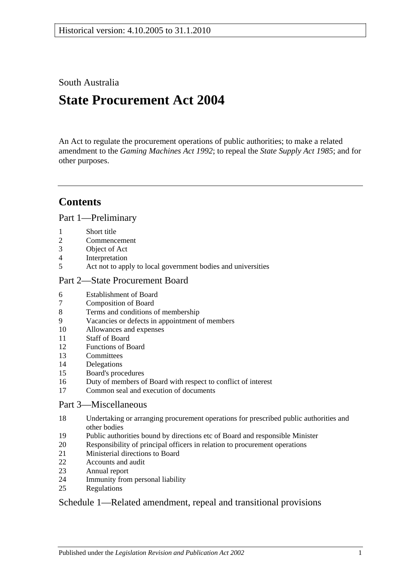South Australia

# **State Procurement Act 2004**

An Act to regulate the procurement operations of public authorities; to make a related amendment to the *[Gaming Machines Act](http://www.legislation.sa.gov.au/index.aspx?action=legref&type=act&legtitle=Gaming%20Machines%20Act%201992) 1992*; to repeal the *[State Supply Act](http://www.legislation.sa.gov.au/index.aspx?action=legref&type=act&legtitle=State%20Supply%20Act%201985) 1985*; and for other purposes.

# **Contents**

[Part 1—Preliminary](#page-1-0)

- [Short title](#page-1-1)
- [Commencement](#page-1-2)
- [Object of Act](#page-1-3)
- [Interpretation](#page-1-4)
- [Act not to apply to local government bodies and universities](#page-3-0)

#### [Part 2—State Procurement Board](#page-3-1)

- [Establishment of Board](#page-3-2)
- [Composition of Board](#page-3-3)
- [Terms and conditions of membership](#page-4-0)
- [Vacancies or defects in appointment of members](#page-4-1)
- [Allowances and expenses](#page-4-2)
- [Staff of Board](#page-4-3)
- [Functions of Board](#page-5-0)
- [Committees](#page-5-1)
- [Delegations](#page-6-0)
- [Board's procedures](#page-6-1)
- [Duty of members of Board with respect to conflict of interest](#page-7-0)
- [Common seal and execution of documents](#page-8-0)

#### [Part 3—Miscellaneous](#page-8-1)

- [Undertaking or arranging procurement operations for prescribed public authorities and](#page-8-2)  [other bodies](#page-8-2)
- [Public authorities bound by directions etc of Board and responsible Minister](#page-8-3)
- [Responsibility of principal officers in relation to procurement operations](#page-9-0)
- [Ministerial directions to Board](#page-9-1)
- [Accounts and audit](#page-9-2)<br>23 Annual report
- [Annual report](#page-9-3)
- [Immunity from personal liability](#page-9-4)
- [Regulations](#page-9-5)

### [Schedule 1—Related amendment, repeal and transitional provisions](#page-10-0)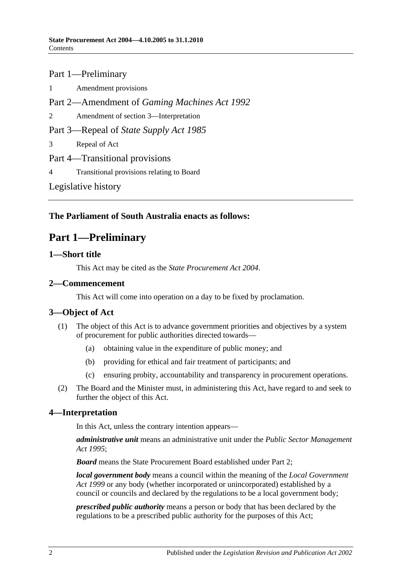# Part 1—Preliminary

1 [Amendment provisions](#page-10-1) Part 2—Amendment of *Gaming Machines Act 1992* 2 [Amendment of section 3—Interpretation](#page-10-2) Part 3—Repeal of *State Supply Act 1985* 3 [Repeal of Act](#page-10-3) Part 4—Transitional provisions 4 [Transitional provisions relating to Board](#page-10-4) [Legislative history](#page-11-0)

### <span id="page-1-0"></span>**The Parliament of South Australia enacts as follows:**

# **Part 1—Preliminary**

#### <span id="page-1-1"></span>**1—Short title**

This Act may be cited as the *State Procurement Act 2004*.

### <span id="page-1-2"></span>**2—Commencement**

This Act will come into operation on a day to be fixed by proclamation.

### <span id="page-1-3"></span>**3—Object of Act**

- (1) The object of this Act is to advance government priorities and objectives by a system of procurement for public authorities directed towards—
	- (a) obtaining value in the expenditure of public money; and
	- (b) providing for ethical and fair treatment of participants; and
	- (c) ensuring probity, accountability and transparency in procurement operations.
- (2) The Board and the Minister must, in administering this Act, have regard to and seek to further the object of this Act.

### <span id="page-1-4"></span>**4—Interpretation**

In this Act, unless the contrary intention appears—

*administrative unit* means an administrative unit under the *[Public Sector Management](http://www.legislation.sa.gov.au/index.aspx?action=legref&type=act&legtitle=Public%20Sector%20Management%20Act%201995)  Act [1995](http://www.legislation.sa.gov.au/index.aspx?action=legref&type=act&legtitle=Public%20Sector%20Management%20Act%201995)*;

*Board* means the State Procurement Board established under [Part 2;](#page-3-1)

*local government body* means a council within the meaning of the *[Local Government](http://www.legislation.sa.gov.au/index.aspx?action=legref&type=act&legtitle=Local%20Government%20Act%201999)  Act [1999](http://www.legislation.sa.gov.au/index.aspx?action=legref&type=act&legtitle=Local%20Government%20Act%201999)* or any body (whether incorporated or unincorporated) established by a council or councils and declared by the regulations to be a local government body;

*prescribed public authority* means a person or body that has been declared by the regulations to be a prescribed public authority for the purposes of this Act;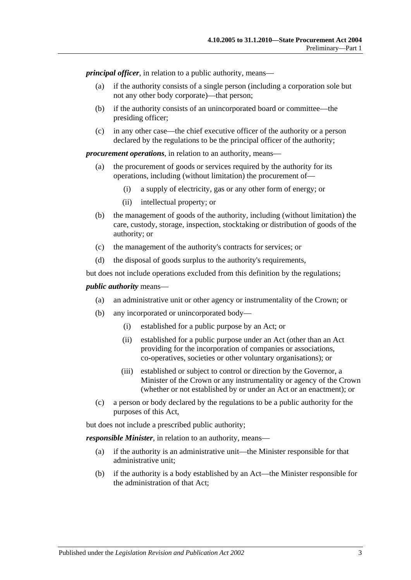*principal officer*, in relation to a public authority, means—

- (a) if the authority consists of a single person (including a corporation sole but not any other body corporate)—that person;
- (b) if the authority consists of an unincorporated board or committee—the presiding officer;
- (c) in any other case—the chief executive officer of the authority or a person declared by the regulations to be the principal officer of the authority;

*procurement operations*, in relation to an authority, means—

- (a) the procurement of goods or services required by the authority for its operations, including (without limitation) the procurement of—
	- (i) a supply of electricity, gas or any other form of energy; or
	- (ii) intellectual property; or
- (b) the management of goods of the authority, including (without limitation) the care, custody, storage, inspection, stocktaking or distribution of goods of the authority; or
- (c) the management of the authority's contracts for services; or
- (d) the disposal of goods surplus to the authority's requirements,

but does not include operations excluded from this definition by the regulations;

#### *public authority* means—

- (a) an administrative unit or other agency or instrumentality of the Crown; or
- (b) any incorporated or unincorporated body—
	- (i) established for a public purpose by an Act; or
	- (ii) established for a public purpose under an Act (other than an Act providing for the incorporation of companies or associations, co-operatives, societies or other voluntary organisations); or
	- (iii) established or subject to control or direction by the Governor, a Minister of the Crown or any instrumentality or agency of the Crown (whether or not established by or under an Act or an enactment); or
- (c) a person or body declared by the regulations to be a public authority for the purposes of this Act,

but does not include a prescribed public authority;

*responsible Minister*, in relation to an authority, means—

- (a) if the authority is an administrative unit—the Minister responsible for that administrative unit;
- (b) if the authority is a body established by an Act—the Minister responsible for the administration of that Act;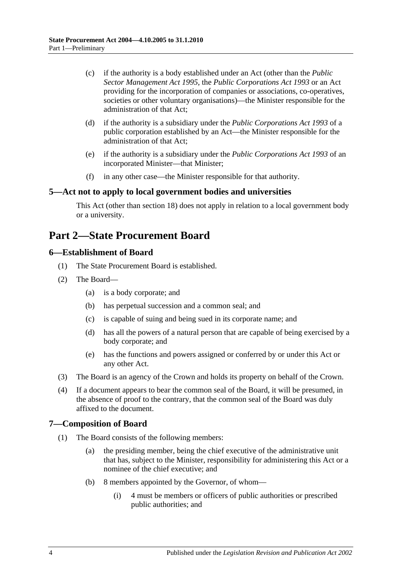- (c) if the authority is a body established under an Act (other than the *[Public](http://www.legislation.sa.gov.au/index.aspx?action=legref&type=act&legtitle=Public%20Sector%20Management%20Act%201995)  [Sector Management Act](http://www.legislation.sa.gov.au/index.aspx?action=legref&type=act&legtitle=Public%20Sector%20Management%20Act%201995) 1995*, the *[Public Corporations Act](http://www.legislation.sa.gov.au/index.aspx?action=legref&type=act&legtitle=Public%20Corporations%20Act%201993) 1993* or an Act providing for the incorporation of companies or associations, co-operatives, societies or other voluntary organisations)—the Minister responsible for the administration of that Act;
- (d) if the authority is a subsidiary under the *[Public Corporations Act](http://www.legislation.sa.gov.au/index.aspx?action=legref&type=act&legtitle=Public%20Corporations%20Act%201993) 1993* of a public corporation established by an Act—the Minister responsible for the administration of that Act;
- (e) if the authority is a subsidiary under the *[Public Corporations Act](http://www.legislation.sa.gov.au/index.aspx?action=legref&type=act&legtitle=Public%20Corporations%20Act%201993) 1993* of an incorporated Minister—that Minister;
- (f) in any other case—the Minister responsible for that authority.

#### <span id="page-3-0"></span>**5—Act not to apply to local government bodies and universities**

This Act (other than [section](#page-8-2) 18) does not apply in relation to a local government body or a university.

# <span id="page-3-1"></span>**Part 2—State Procurement Board**

#### <span id="page-3-2"></span>**6—Establishment of Board**

- (1) The State Procurement Board is established.
- (2) The Board—
	- (a) is a body corporate; and
	- (b) has perpetual succession and a common seal; and
	- (c) is capable of suing and being sued in its corporate name; and
	- (d) has all the powers of a natural person that are capable of being exercised by a body corporate; and
	- (e) has the functions and powers assigned or conferred by or under this Act or any other Act.
- (3) The Board is an agency of the Crown and holds its property on behalf of the Crown.
- (4) If a document appears to bear the common seal of the Board, it will be presumed, in the absence of proof to the contrary, that the common seal of the Board was duly affixed to the document.

#### <span id="page-3-3"></span>**7—Composition of Board**

- <span id="page-3-5"></span><span id="page-3-4"></span>(1) The Board consists of the following members:
	- (a) the presiding member, being the chief executive of the administrative unit that has, subject to the Minister, responsibility for administering this Act or a nominee of the chief executive; and
	- (b) 8 members appointed by the Governor, of whom—
		- (i) 4 must be members or officers of public authorities or prescribed public authorities; and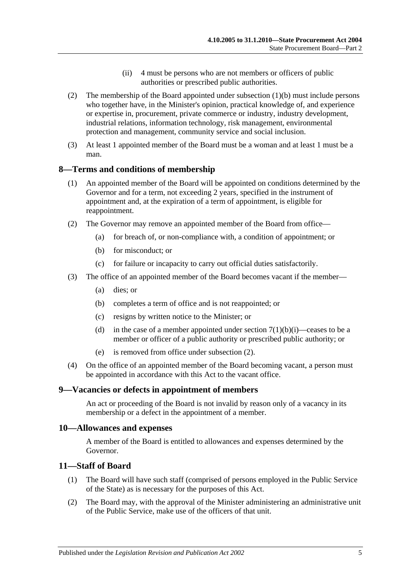- (ii) 4 must be persons who are not members or officers of public authorities or prescribed public authorities.
- (2) The membership of the Board appointed under [subsection](#page-3-4) (1)(b) must include persons who together have, in the Minister's opinion, practical knowledge of, and experience or expertise in, procurement, private commerce or industry, industry development, industrial relations, information technology, risk management, environmental protection and management, community service and social inclusion.
- (3) At least 1 appointed member of the Board must be a woman and at least 1 must be a man.

#### <span id="page-4-0"></span>**8—Terms and conditions of membership**

- (1) An appointed member of the Board will be appointed on conditions determined by the Governor and for a term, not exceeding 2 years, specified in the instrument of appointment and, at the expiration of a term of appointment, is eligible for reappointment.
- <span id="page-4-4"></span>(2) The Governor may remove an appointed member of the Board from office—
	- (a) for breach of, or non-compliance with, a condition of appointment; or
	- (b) for misconduct; or
	- (c) for failure or incapacity to carry out official duties satisfactorily.
- (3) The office of an appointed member of the Board becomes vacant if the member—
	- (a) dies; or
	- (b) completes a term of office and is not reappointed; or
	- (c) resigns by written notice to the Minister; or
	- (d) in the case of a member appointed under section  $7(1)(b)(i)$ —ceases to be a member or officer of a public authority or prescribed public authority; or
	- (e) is removed from office under [subsection](#page-4-4) (2).
- (4) On the office of an appointed member of the Board becoming vacant, a person must be appointed in accordance with this Act to the vacant office.

#### <span id="page-4-1"></span>**9—Vacancies or defects in appointment of members**

An act or proceeding of the Board is not invalid by reason only of a vacancy in its membership or a defect in the appointment of a member.

#### <span id="page-4-2"></span>**10—Allowances and expenses**

A member of the Board is entitled to allowances and expenses determined by the Governor.

#### <span id="page-4-3"></span>**11—Staff of Board**

- (1) The Board will have such staff (comprised of persons employed in the Public Service of the State) as is necessary for the purposes of this Act.
- (2) The Board may, with the approval of the Minister administering an administrative unit of the Public Service, make use of the officers of that unit.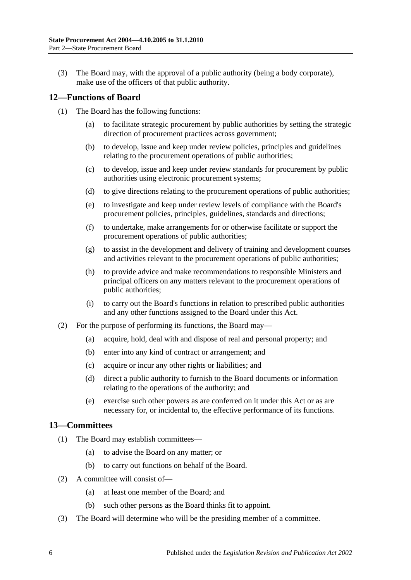(3) The Board may, with the approval of a public authority (being a body corporate), make use of the officers of that public authority.

#### <span id="page-5-0"></span>**12—Functions of Board**

- (1) The Board has the following functions:
	- (a) to facilitate strategic procurement by public authorities by setting the strategic direction of procurement practices across government;
	- (b) to develop, issue and keep under review policies, principles and guidelines relating to the procurement operations of public authorities;
	- (c) to develop, issue and keep under review standards for procurement by public authorities using electronic procurement systems;
	- (d) to give directions relating to the procurement operations of public authorities;
	- (e) to investigate and keep under review levels of compliance with the Board's procurement policies, principles, guidelines, standards and directions;
	- (f) to undertake, make arrangements for or otherwise facilitate or support the procurement operations of public authorities;
	- (g) to assist in the development and delivery of training and development courses and activities relevant to the procurement operations of public authorities;
	- (h) to provide advice and make recommendations to responsible Ministers and principal officers on any matters relevant to the procurement operations of public authorities;
	- (i) to carry out the Board's functions in relation to prescribed public authorities and any other functions assigned to the Board under this Act.
- (2) For the purpose of performing its functions, the Board may—
	- (a) acquire, hold, deal with and dispose of real and personal property; and
	- (b) enter into any kind of contract or arrangement; and
	- (c) acquire or incur any other rights or liabilities; and
	- (d) direct a public authority to furnish to the Board documents or information relating to the operations of the authority; and
	- (e) exercise such other powers as are conferred on it under this Act or as are necessary for, or incidental to, the effective performance of its functions.

#### <span id="page-5-1"></span>**13—Committees**

- (1) The Board may establish committees—
	- (a) to advise the Board on any matter; or
	- (b) to carry out functions on behalf of the Board.
- (2) A committee will consist of—
	- (a) at least one member of the Board; and
	- (b) such other persons as the Board thinks fit to appoint.
- (3) The Board will determine who will be the presiding member of a committee.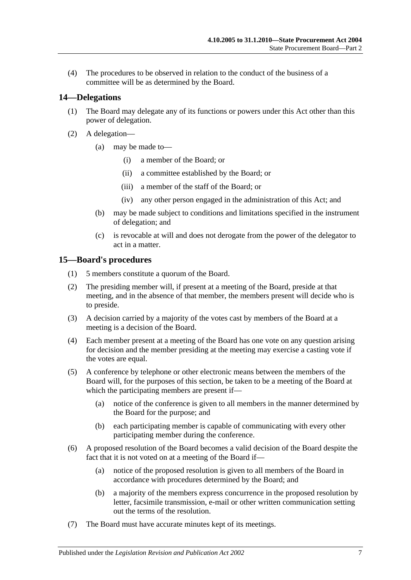(4) The procedures to be observed in relation to the conduct of the business of a committee will be as determined by the Board.

#### <span id="page-6-0"></span>**14—Delegations**

- (1) The Board may delegate any of its functions or powers under this Act other than this power of delegation.
- (2) A delegation—
	- (a) may be made to—
		- (i) a member of the Board; or
		- (ii) a committee established by the Board; or
		- (iii) a member of the staff of the Board; or
		- (iv) any other person engaged in the administration of this Act; and
	- (b) may be made subject to conditions and limitations specified in the instrument of delegation; and
	- (c) is revocable at will and does not derogate from the power of the delegator to act in a matter.

#### <span id="page-6-1"></span>**15—Board's procedures**

- (1) 5 members constitute a quorum of the Board.
- (2) The presiding member will, if present at a meeting of the Board, preside at that meeting, and in the absence of that member, the members present will decide who is to preside.
- (3) A decision carried by a majority of the votes cast by members of the Board at a meeting is a decision of the Board.
- (4) Each member present at a meeting of the Board has one vote on any question arising for decision and the member presiding at the meeting may exercise a casting vote if the votes are equal.
- (5) A conference by telephone or other electronic means between the members of the Board will, for the purposes of this section, be taken to be a meeting of the Board at which the participating members are present if—
	- (a) notice of the conference is given to all members in the manner determined by the Board for the purpose; and
	- (b) each participating member is capable of communicating with every other participating member during the conference.
- (6) A proposed resolution of the Board becomes a valid decision of the Board despite the fact that it is not voted on at a meeting of the Board if—
	- (a) notice of the proposed resolution is given to all members of the Board in accordance with procedures determined by the Board; and
	- (b) a majority of the members express concurrence in the proposed resolution by letter, facsimile transmission, e-mail or other written communication setting out the terms of the resolution.
- (7) The Board must have accurate minutes kept of its meetings.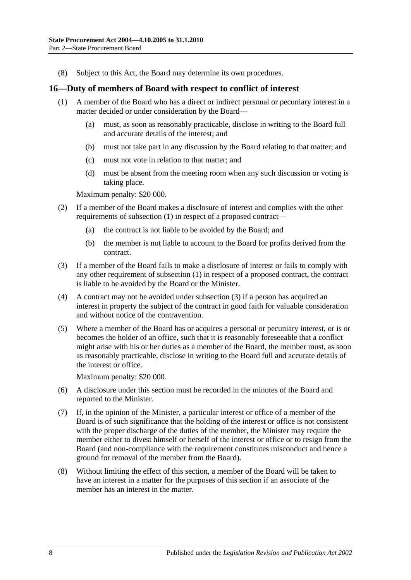(8) Subject to this Act, the Board may determine its own procedures.

#### <span id="page-7-0"></span>**16—Duty of members of Board with respect to conflict of interest**

- (1) A member of the Board who has a direct or indirect personal or pecuniary interest in a matter decided or under consideration by the Board—
	- (a) must, as soon as reasonably practicable, disclose in writing to the Board full and accurate details of the interest; and
	- (b) must not take part in any discussion by the Board relating to that matter; and
	- (c) must not vote in relation to that matter; and
	- (d) must be absent from the meeting room when any such discussion or voting is taking place.

Maximum penalty: \$20 000.

- (2) If a member of the Board makes a disclosure of interest and complies with the other requirements of subsection (1) in respect of a proposed contract—
	- (a) the contract is not liable to be avoided by the Board; and
	- (b) the member is not liable to account to the Board for profits derived from the contract.
- (3) If a member of the Board fails to make a disclosure of interest or fails to comply with any other requirement of subsection (1) in respect of a proposed contract, the contract is liable to be avoided by the Board or the Minister.
- (4) A contract may not be avoided under subsection (3) if a person has acquired an interest in property the subject of the contract in good faith for valuable consideration and without notice of the contravention.
- (5) Where a member of the Board has or acquires a personal or pecuniary interest, or is or becomes the holder of an office, such that it is reasonably foreseeable that a conflict might arise with his or her duties as a member of the Board, the member must, as soon as reasonably practicable, disclose in writing to the Board full and accurate details of the interest or office.

Maximum penalty: \$20 000.

- (6) A disclosure under this section must be recorded in the minutes of the Board and reported to the Minister.
- (7) If, in the opinion of the Minister, a particular interest or office of a member of the Board is of such significance that the holding of the interest or office is not consistent with the proper discharge of the duties of the member, the Minister may require the member either to divest himself or herself of the interest or office or to resign from the Board (and non-compliance with the requirement constitutes misconduct and hence a ground for removal of the member from the Board).
- (8) Without limiting the effect of this section, a member of the Board will be taken to have an interest in a matter for the purposes of this section if an associate of the member has an interest in the matter.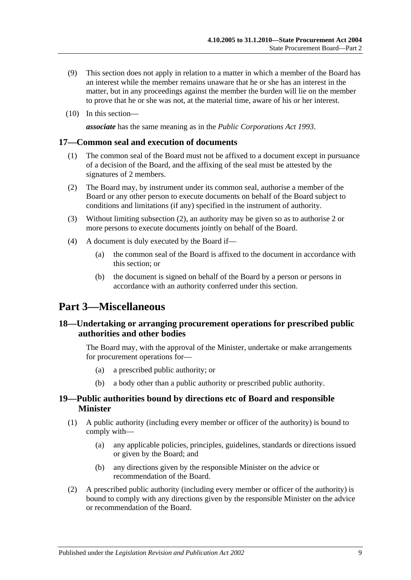- (9) This section does not apply in relation to a matter in which a member of the Board has an interest while the member remains unaware that he or she has an interest in the matter, but in any proceedings against the member the burden will lie on the member to prove that he or she was not, at the material time, aware of his or her interest.
- (10) In this section—

*associate* has the same meaning as in the *[Public Corporations Act](http://www.legislation.sa.gov.au/index.aspx?action=legref&type=act&legtitle=Public%20Corporations%20Act%201993) 1993*.

#### <span id="page-8-0"></span>**17—Common seal and execution of documents**

- (1) The common seal of the Board must not be affixed to a document except in pursuance of a decision of the Board, and the affixing of the seal must be attested by the signatures of 2 members.
- <span id="page-8-4"></span>(2) The Board may, by instrument under its common seal, authorise a member of the Board or any other person to execute documents on behalf of the Board subject to conditions and limitations (if any) specified in the instrument of authority.
- (3) Without limiting [subsection](#page-8-4) (2), an authority may be given so as to authorise 2 or more persons to execute documents jointly on behalf of the Board.
- (4) A document is duly executed by the Board if—
	- (a) the common seal of the Board is affixed to the document in accordance with this section; or
	- (b) the document is signed on behalf of the Board by a person or persons in accordance with an authority conferred under this section.

# <span id="page-8-1"></span>**Part 3—Miscellaneous**

#### <span id="page-8-2"></span>**18—Undertaking or arranging procurement operations for prescribed public authorities and other bodies**

The Board may, with the approval of the Minister, undertake or make arrangements for procurement operations for—

- (a) a prescribed public authority; or
- (b) a body other than a public authority or prescribed public authority.

#### <span id="page-8-3"></span>**19—Public authorities bound by directions etc of Board and responsible Minister**

- (1) A public authority (including every member or officer of the authority) is bound to comply with—
	- (a) any applicable policies, principles, guidelines, standards or directions issued or given by the Board; and
	- (b) any directions given by the responsible Minister on the advice or recommendation of the Board.
- (2) A prescribed public authority (including every member or officer of the authority) is bound to comply with any directions given by the responsible Minister on the advice or recommendation of the Board.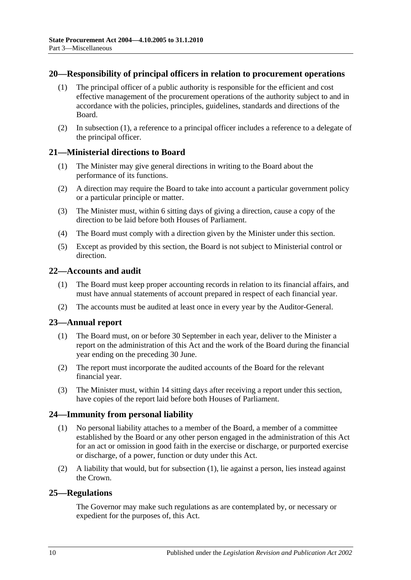#### <span id="page-9-6"></span><span id="page-9-0"></span>**20—Responsibility of principal officers in relation to procurement operations**

- (1) The principal officer of a public authority is responsible for the efficient and cost effective management of the procurement operations of the authority subject to and in accordance with the policies, principles, guidelines, standards and directions of the Board.
- (2) In [subsection](#page-9-6) (1), a reference to a principal officer includes a reference to a delegate of the principal officer.

#### <span id="page-9-1"></span>**21—Ministerial directions to Board**

- (1) The Minister may give general directions in writing to the Board about the performance of its functions.
- (2) A direction may require the Board to take into account a particular government policy or a particular principle or matter.
- (3) The Minister must, within 6 sitting days of giving a direction, cause a copy of the direction to be laid before both Houses of Parliament.
- (4) The Board must comply with a direction given by the Minister under this section.
- (5) Except as provided by this section, the Board is not subject to Ministerial control or direction.

#### <span id="page-9-2"></span>**22—Accounts and audit**

- (1) The Board must keep proper accounting records in relation to its financial affairs, and must have annual statements of account prepared in respect of each financial year.
- (2) The accounts must be audited at least once in every year by the Auditor-General.

#### <span id="page-9-3"></span>**23—Annual report**

- (1) The Board must, on or before 30 September in each year, deliver to the Minister a report on the administration of this Act and the work of the Board during the financial year ending on the preceding 30 June.
- (2) The report must incorporate the audited accounts of the Board for the relevant financial year.
- (3) The Minister must, within 14 sitting days after receiving a report under this section, have copies of the report laid before both Houses of Parliament.

#### <span id="page-9-4"></span>**24—Immunity from personal liability**

- (1) No personal liability attaches to a member of the Board, a member of a committee established by the Board or any other person engaged in the administration of this Act for an act or omission in good faith in the exercise or discharge, or purported exercise or discharge, of a power, function or duty under this Act.
- (2) A liability that would, but for subsection (1), lie against a person, lies instead against the Crown.

#### <span id="page-9-5"></span>**25—Regulations**

The Governor may make such regulations as are contemplated by, or necessary or expedient for the purposes of, this Act.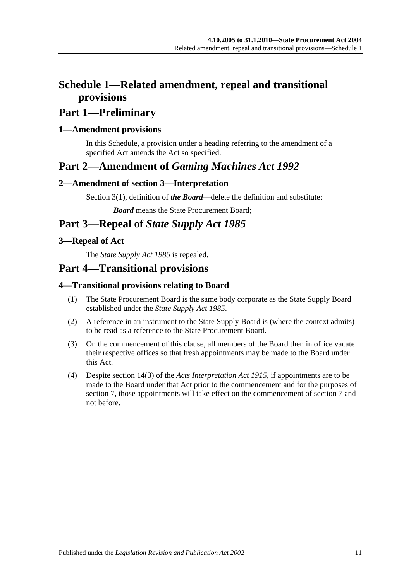# <span id="page-10-0"></span>**Schedule 1—Related amendment, repeal and transitional provisions**

# **Part 1—Preliminary**

### <span id="page-10-1"></span>**1—Amendment provisions**

In this Schedule, a provision under a heading referring to the amendment of a specified Act amends the Act so specified.

# **Part 2—Amendment of** *Gaming Machines Act 1992*

### <span id="page-10-2"></span>**2—Amendment of section 3—Interpretation**

Section 3(1), definition of *the Board*—delete the definition and substitute:

*Board* means the State Procurement Board;

# **Part 3—Repeal of** *State Supply Act 1985*

### <span id="page-10-3"></span>**3—Repeal of Act**

The *[State Supply Act](http://www.legislation.sa.gov.au/index.aspx?action=legref&type=act&legtitle=State%20Supply%20Act%201985) 1985* is repealed.

# **Part 4—Transitional provisions**

### <span id="page-10-4"></span>**4—Transitional provisions relating to Board**

- (1) The State Procurement Board is the same body corporate as the State Supply Board established under the *[State Supply Act](http://www.legislation.sa.gov.au/index.aspx?action=legref&type=act&legtitle=State%20Supply%20Act%201985) 1985*.
- (2) A reference in an instrument to the State Supply Board is (where the context admits) to be read as a reference to the State Procurement Board.
- (3) On the commencement of this clause, all members of the Board then in office vacate their respective offices so that fresh appointments may be made to the Board under this Act.
- (4) Despite section 14(3) of the *[Acts Interpretation Act](http://www.legislation.sa.gov.au/index.aspx?action=legref&type=act&legtitle=Acts%20Interpretation%20Act%201915) 1915*, if appointments are to be made to the Board under that Act prior to the commencement and for the purposes of [section](#page-3-3) 7, those appointments will take effect on the commencement of [section](#page-3-3) 7 and not before.